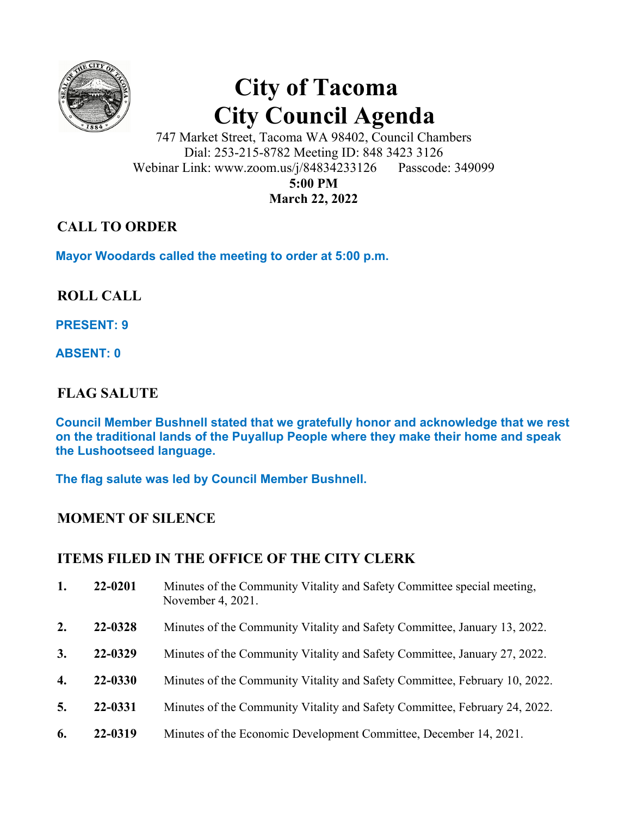

# **City of Tacoma City Council Agenda**

747 Market Street, Tacoma WA 98402, Council Chambers Dial: 253-215-8782 Meeting ID: 848 3423 3126 Webinar Link: www.zoom.us/j/84834233126 Passcode: 349099 **5:00 PM March 22, 2022** 

## **CALL TO ORDER**

**Mayor Woodards called the meeting to order at 5:00 p.m.** 

## **ROLL CALL**

**PRESENT: 9** 

**ABSENT: 0** 

## **FLAG SALUTE**

**Council Member Bushnell stated that we gratefully honor and acknowledge that we rest on the traditional lands of the Puyallup People where they make their home and speak the Lushootseed language.** 

**The flag salute was led by Council Member Bushnell.** 

## **MOMENT OF SILENCE**

## **ITEMS FILED IN THE OFFICE OF THE CITY CLERK**

- **1. 22-0201** Minutes of the Community Vitality and Safety Committee special meeting, November 4, 2021. **2. 22-0328** Minutes of the Community Vitality and Safety Committee, January 13, 2022. **3. 22-0329** Minutes of the Community Vitality and Safety Committee, January 27, 2022. **4. 22-0330** Minutes of the Community Vitality and Safety Committee, February 10, 2022. **5. 22-0331** Minutes of the Community Vitality and Safety Committee, February 24, 2022.
- 
- **6. 22-0319** Minutes of the Economic Development Committee, December 14, 2021.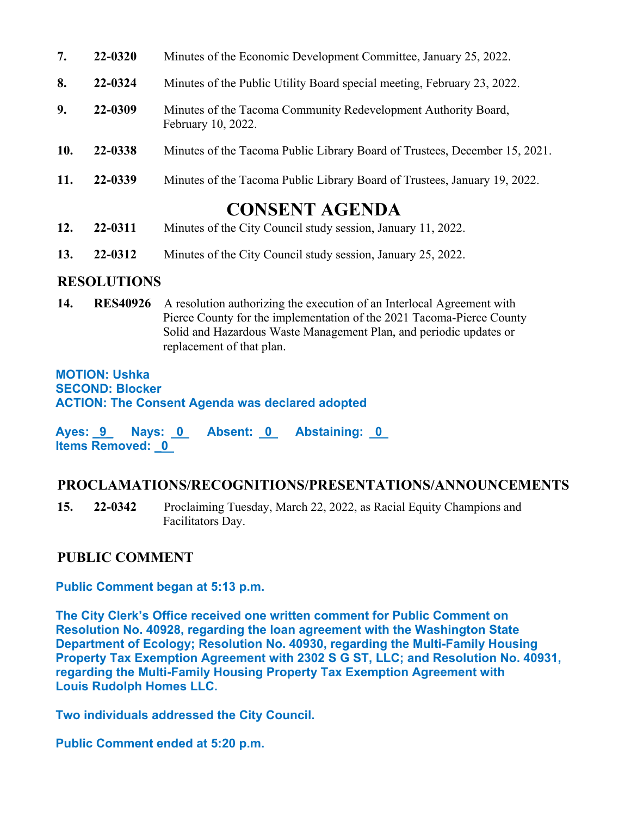| 7.  | 22-0320 | Minutes of the Economic Development Committee, January 25, 2022.                      |
|-----|---------|---------------------------------------------------------------------------------------|
| 8.  | 22-0324 | Minutes of the Public Utility Board special meeting, February 23, 2022.               |
| 9.  | 22-0309 | Minutes of the Tacoma Community Redevelopment Authority Board,<br>February 10, 2022.  |
| 10. | 22-0338 | Minutes of the Tacoma Public Library Board of Trustees, December 15, 2021.            |
| 11. | 22-0339 | Minutes of the Tacoma Public Library Board of Trustees, January 19, 2022.             |
| 12. | 22-0311 | <b>CONSENT AGENDA</b><br>Minutes of the City Council study session, January 11, 2022. |

**13. 22-0312** Minutes of the City Council study session, January 25, 2022.

## **RESOLUTIONS**

**14. RES40926** A resolution authorizing the execution of an Interlocal Agreement with Pierce County for the implementation of the 2021 Tacoma-Pierce County Solid and Hazardous Waste Management Plan, and periodic updates or replacement of that plan.

**MOTION: Ushka SECOND: Blocker ACTION: The Consent Agenda was declared adopted** 

Ayes: 9 Nays: 0 Absent: 0 Abstaining: 0 **Items Removed: \_0** 

## **PROCLAMATIONS/RECOGNITIONS/PRESENTATIONS/ANNOUNCEMENTS**

**15. 22-0342** Proclaiming Tuesday, March 22, 2022, as Racial Equity Champions and Facilitators Day.

## **PUBLIC COMMENT**

## **Public Comment began at 5:13 p.m.**

**The City Clerk's Office received one written comment for Public Comment on Resolution No. 40928, regarding the loan agreement with the Washington State Department of Ecology; Resolution No. 40930, regarding the Multi-Family Housing Property Tax Exemption Agreement with 2302 S G ST, LLC; and Resolution No. 40931, regarding the Multi-Family Housing Property Tax Exemption Agreement with Louis Rudolph Homes LLC.** 

**Two individuals addressed the City Council.** 

**Public Comment ended at 5:20 p.m.**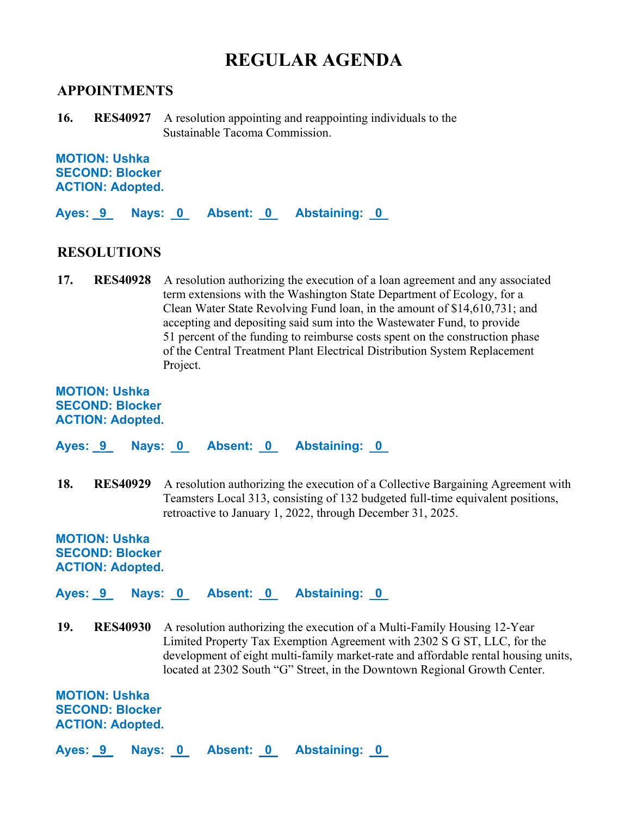# **REGULAR AGENDA**

#### **APPOINTMENTS**

**16. RES40927** A resolution appointing and reappointing individuals to the Sustainable Tacoma Commission.

**MOTION: Ushka SECOND: Blocker ACTION: Adopted.** 

**Ayes: \_9\_ Nays: 0 Absent: 0 Abstaining: 0** 

#### **RESOLUTIONS**

**17. RES40928** A resolution authorizing the execution of a loan agreement and any associated term extensions with the Washington State Department of Ecology, for a Clean Water State Revolving Fund loan, in the amount of \$14,610,731; and accepting and depositing said sum into the Wastewater Fund, to provide 51 percent of the funding to reimburse costs spent on the construction phase of the Central Treatment Plant Electrical Distribution System Replacement Project.

#### **MOTION: Ushka SECOND: Blocker ACTION: Adopted.**

**Ayes: \_9\_ Nays: 0 Absent: 0 Abstaining: 0** 

**18. RES40929** A resolution authorizing the execution of a Collective Bargaining Agreement with Teamsters Local 313, consisting of 132 budgeted full-time equivalent positions, retroactive to January 1, 2022, through December 31, 2025.

#### **MOTION: Ushka SECOND: Blocker ACTION: Adopted.**

Ayes: 9 Nays: 0 Absent: 0 Abstaining: 0

**19. RES40930** A resolution authorizing the execution of a Multi-Family Housing 12-Year Limited Property Tax Exemption Agreement with 2302 S G ST, LLC, for the development of eight multi-family market-rate and affordable rental housing units, located at 2302 South "G" Street, in the Downtown Regional Growth Center.

**MOTION: Ushka SECOND: Blocker ACTION: Adopted.** 

Ayes: 9 Nays: 0 Absent: 0 Abstaining: 0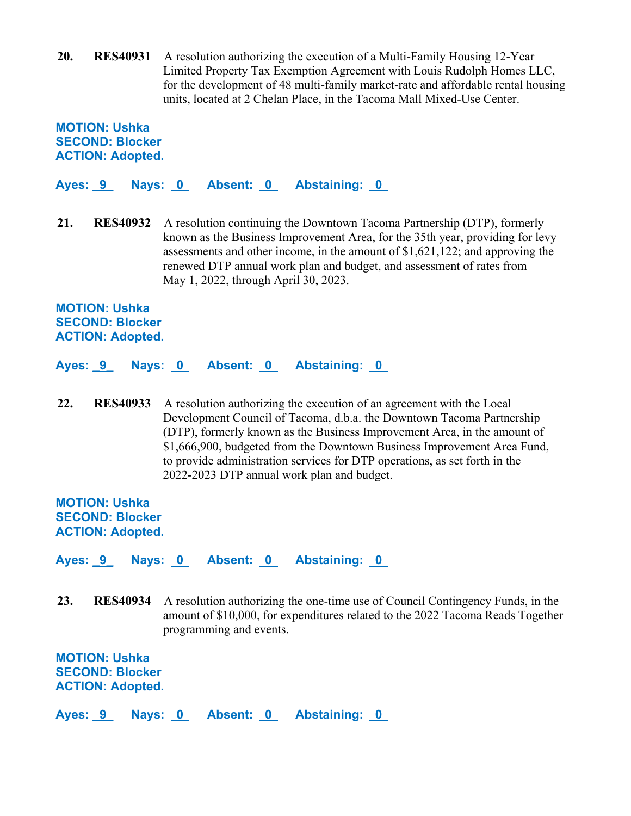**20. RES40931** A resolution authorizing the execution of a Multi-Family Housing 12-Year Limited Property Tax Exemption Agreement with Louis Rudolph Homes LLC, for the development of 48 multi-family market-rate and affordable rental housing units, located at 2 Chelan Place, in the Tacoma Mall Mixed-Use Center.

**MOTION: Ushka SECOND: Blocker ACTION: Adopted.** 

**Ayes: \_9\_ Nays: 0 Absent: 0 Abstaining: 0** 

**21. RES40932** A resolution continuing the Downtown Tacoma Partnership (DTP), formerly known as the Business Improvement Area, for the 35th year, providing for levy assessments and other income, in the amount of \$1,621,122; and approving the renewed DTP annual work plan and budget, and assessment of rates from May 1, 2022, through April 30, 2023.

**MOTION: Ushka SECOND: Blocker ACTION: Adopted.** 

**Ayes: \_9\_ Nays: 0 Absent: 0 Abstaining: 0** 

**22. RES40933** A resolution authorizing the execution of an agreement with the Local Development Council of Tacoma, d.b.a. the Downtown Tacoma Partnership (DTP), formerly known as the Business Improvement Area, in the amount of \$1,666,900, budgeted from the Downtown Business Improvement Area Fund, to provide administration services for DTP operations, as set forth in the 2022-2023 DTP annual work plan and budget.

**MOTION: Ushka SECOND: Blocker ACTION: Adopted.** 

**Ayes: \_9\_ Nays: 0 Absent: 0 Abstaining: 0** 

**23. RES40934** A resolution authorizing the one-time use of Council Contingency Funds, in the amount of \$10,000, for expenditures related to the 2022 Tacoma Reads Together programming and events.

**MOTION: Ushka SECOND: Blocker ACTION: Adopted.** 

Ayes: 9 Nays: 0 Absent: 0 Abstaining: 0